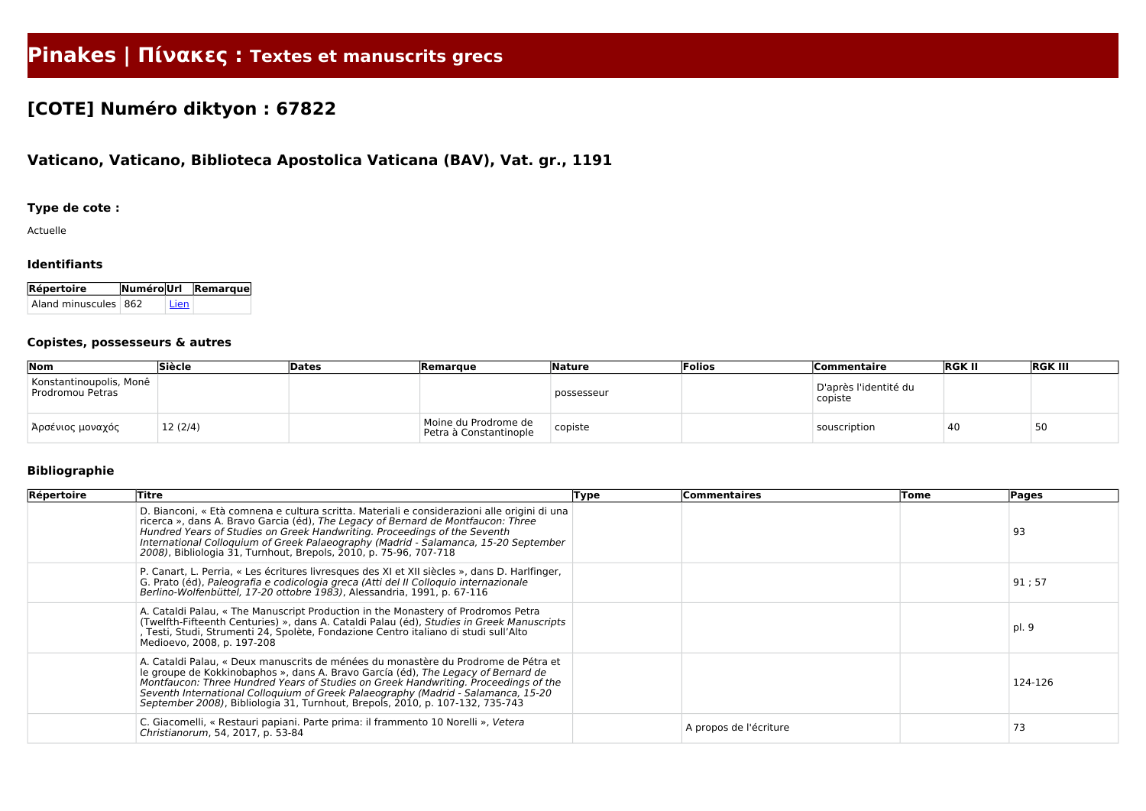# **Pinakes | Πίνακες : Textes et manuscrits grecs**

## **[COTE] Numéro diktyon : 67822**

## **Vaticano, Vaticano, Biblioteca Apostolica Vaticana (BAV), Vat. gr., 1191**

## **Type de cote :**

Actuelle

#### **Identifiants**

| Répertoire           |      | NuméroUrl Remarque |
|----------------------|------|--------------------|
| Aland minuscules 862 | Lien |                    |

#### **Copistes, possesseurs & autres**

| Nom                                         | Siècle  | Dates | <b>Remarque</b>                                | <b>Nature</b> | Folios | <b>Commentaire</b>               | <b>RGK II</b> | <b>RGK III</b> |
|---------------------------------------------|---------|-------|------------------------------------------------|---------------|--------|----------------------------------|---------------|----------------|
| Konstantinoupolis, Monê<br>Prodromou Petras |         |       |                                                | possesseur    |        | D'après l'identité du<br>copiste |               |                |
| Ἀρσένιος μοναχός                            | 12(2/4) |       | Moine du Prodrome de<br>Petra à Constantinople | $ $ copiste   |        | souscription                     | 40            | 50             |

## **Bibliographie**

| Répertoire | Titre                                                                                                                                                                                                                                                                                                                                                                                                                                | <b>Type</b> | <b>Commentaires</b>    | Tome | Pages   |
|------------|--------------------------------------------------------------------------------------------------------------------------------------------------------------------------------------------------------------------------------------------------------------------------------------------------------------------------------------------------------------------------------------------------------------------------------------|-------------|------------------------|------|---------|
|            | D. Bianconi, « Età comnena e cultura scritta. Materiali e considerazioni alle origini di una<br>ricerca », dans A. Bravo Garcia (éd), The Legacy of Bernard de Montfaucon: Three<br>Hundred Years of Studies on Greek Handwriting. Proceedings of the Seventh<br>International Colloquium of Greek Palaeography (Madrid - Salamanca, 15-20 September<br>2008), Bibliologia 31, Turnhout, Brepols, 2010, p. 75-96, 707-718            |             |                        |      | 93      |
|            | P. Canart, L. Perria, « Les écritures livresques des XI et XII siècles », dans D. Harlfinger,<br>G. Prato (éd), Paleografia e codicologia greca (Atti del II Colloquio internazionale<br>Berlino-Wolfenbüttel, 17-20 ottobre 1983), Alessandria, 1991, p. 67-116                                                                                                                                                                     |             |                        |      | 91;57   |
|            | A. Cataldi Palau, « The Manuscript Production in the Monastery of Prodromos Petra<br>(Twelfth-Fifteenth Centuries) », dans A. Cataldi Palau (éd), Studies in Greek Manuscripts<br>, Testi, Studi, Strumenti 24, Spolète, Fondazione Centro italiano di studi sull'Alto<br>Medioevo, 2008, p. 197-208                                                                                                                                 |             |                        |      | pl. 9   |
|            | A. Cataldi Palau, « Deux manuscrits de ménées du monastère du Prodrome de Pétra et<br>le groupe de Kokkinobaphos », dans A. Bravo García (éd), The Legacy of Bernard de<br>Montfaucon: Three Hundred Years of Studies on Greek Handwriting. Proceedings of the<br>Seventh International Colloquium of Greek Palaeography (Madrid - Salamanca, 15-20<br>September 2008), Bibliologia 31, Turnhout, Brepols, 2010, p. 107-132, 735-743 |             |                        |      | 124-126 |
|            | C. Giacomelli, « Restauri papiani. Parte prima: il frammento 10 Norelli », Vetera<br>Christianorum, 54, 2017, p. 53-84                                                                                                                                                                                                                                                                                                               |             | A propos de l'écriture |      | 73      |